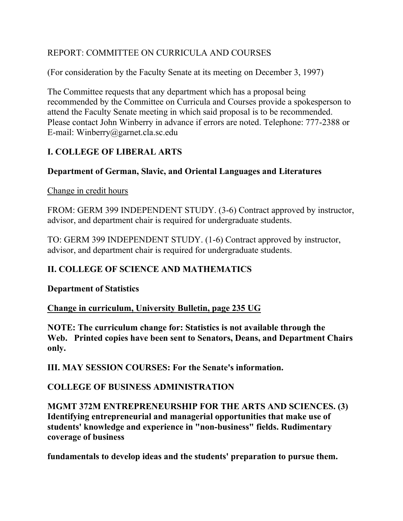## REPORT: COMMITTEE ON CURRICULA AND COURSES

(For consideration by the Faculty Senate at its meeting on December 3, 1997)

The Committee requests that any department which has a proposal being recommended by the Committee on Curricula and Courses provide a spokesperson to attend the Faculty Senate meeting in which said proposal is to be recommended. Please contact John Winberry in advance if errors are noted. Telephone: 777-2388 or E-mail: Winberry@garnet.cla.sc.edu

# **I. COLLEGE OF LIBERAL ARTS**

## **Department of German, Slavic, and Oriental Languages and Literatures**

#### Change in credit hours

FROM: GERM 399 INDEPENDENT STUDY. (3-6) Contract approved by instructor, advisor, and department chair is required for undergraduate students.

TO: GERM 399 INDEPENDENT STUDY. (1-6) Contract approved by instructor, advisor, and department chair is required for undergraduate students.

## **II. COLLEGE OF SCIENCE AND MATHEMATICS**

### **Department of Statistics**

### **Change in curriculum, University Bulletin, page 235 UG**

**NOTE: The curriculum change for: Statistics is not available through the Web. Printed copies have been sent to Senators, Deans, and Department Chairs only.**

**III. MAY SESSION COURSES: For the Senate's information.**

### **COLLEGE OF BUSINESS ADMINISTRATION**

**MGMT 372M ENTREPRENEURSHIP FOR THE ARTS AND SCIENCES. (3) Identifying entrepreneurial and managerial opportunities that make use of students' knowledge and experience in "non-business" fields. Rudimentary coverage of business**

**fundamentals to develop ideas and the students' preparation to pursue them.**